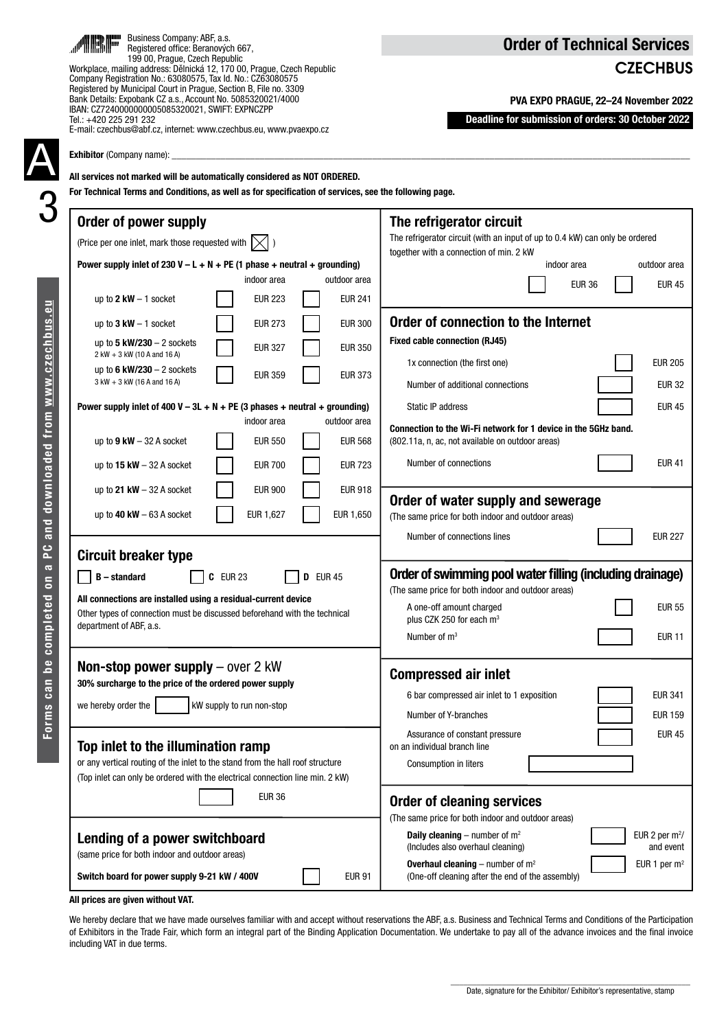|--|

# **CZECHBUS**

PVA EXPO PRAGUE, 22–24 November 2022

Deadline for submission of orders: 30 October 2022

| Tel.: +420 225 291 232<br>E-mail: czechbus@abf.cz, internet: www.czechbus.eu, www.pvaexpo.cz<br><b>Exhibitor</b> (Company name):<br>All services not marked will be automatically considered as NOT ORDERED. | Deadline for submission of orders: 30 October 2022                                                                                                                                                                                                                                                                            |
|--------------------------------------------------------------------------------------------------------------------------------------------------------------------------------------------------------------|-------------------------------------------------------------------------------------------------------------------------------------------------------------------------------------------------------------------------------------------------------------------------------------------------------------------------------|
| For Technical Terms and Conditions, as well as for specification of services, see the following page.<br>Order of power supply<br>(Price per one inlet, mark those requested with $\left[\times\right]$ )    | The refrigerator circuit<br>The refrigerator circuit (with an input of up to 0.4 kW) can only be ordered                                                                                                                                                                                                                      |
| Power supply inlet of 230 V - L + N + PE (1 phase + neutral + grounding)<br>indoor area<br>outdoor area                                                                                                      | together with a connection of min. 2 kW<br>indoor area<br>outdoor area<br><b>EUR 45</b><br><b>EUR 36</b>                                                                                                                                                                                                                      |
| <b>EUR 223</b><br><b>EUR 241</b><br>up to $2$ kW $-$ 1 socket                                                                                                                                                |                                                                                                                                                                                                                                                                                                                               |
| <b>EUR 273</b><br><b>EUR 300</b><br>up to $3 \text{ kW} - 1 \text{ socket}$<br>up to 5 $kW/230 - 2$ sockets<br><b>EUR 327</b><br><b>EUR 350</b>                                                              | Order of connection to the Internet<br><b>Fixed cable connection (RJ45)</b>                                                                                                                                                                                                                                                   |
| 2 kW + 3 kW (10 A and 16 A)<br>up to 6 $kW/230 - 2$ sockets<br><b>EUR 359</b><br><b>EUR 373</b><br>3 kW + 3 kW (16 A and 16 A)                                                                               | <b>EUR 205</b><br>1x connection (the first one)<br><b>EUR 32</b><br>Number of additional connections                                                                                                                                                                                                                          |
| Power supply inlet of 400 V – 3L + N + PE (3 phases + neutral + grounding)<br>indoor area<br>outdoor area                                                                                                    | Static IP address<br><b>EUR 45</b>                                                                                                                                                                                                                                                                                            |
| <b>EUR 550</b><br>up to $9$ kW $-$ 32 A socket<br><b>EUR 568</b>                                                                                                                                             | Connection to the Wi-Fi network for 1 device in the 5GHz band.<br>(802.11a, n, ac, not available on outdoor areas)                                                                                                                                                                                                            |
| <b>EUR 700</b><br><b>EUR 723</b><br>up to $15$ kW $-$ 32 A socket                                                                                                                                            | Number of connections<br><b>EUR 41</b>                                                                                                                                                                                                                                                                                        |
| <b>EUR 900</b><br><b>EUR 918</b><br>up to 21 $kW - 32$ A socket<br>EUR 1,650<br>up to $40$ kW $-63$ A socket<br>EUR 1,627                                                                                    | Order of water supply and sewerage<br>(The same price for both indoor and outdoor areas)                                                                                                                                                                                                                                      |
| <b>Circuit breaker type</b>                                                                                                                                                                                  | Number of connections lines<br><b>EUR 227</b>                                                                                                                                                                                                                                                                                 |
| <b>B</b> – standard<br><b>C</b> EUR 23<br><b>D</b> EUR 45                                                                                                                                                    | Order of swimming pool water filling (including drainage)<br>(The same price for both indoor and outdoor areas)                                                                                                                                                                                                               |
| All connections are installed using a residual-current device<br>Other types of connection must be discussed beforehand with the technical<br>department of ABF, a.s.                                        | <b>EUR 55</b><br>A one-off amount charged<br>plus CZK 250 for each m <sup>3</sup>                                                                                                                                                                                                                                             |
|                                                                                                                                                                                                              | <b>EUR 11</b><br>Number of $m3$                                                                                                                                                                                                                                                                                               |
| Non-stop power supply - over 2 kW<br>30% surcharge to the price of the ordered power supply                                                                                                                  | <b>Compressed air inlet</b>                                                                                                                                                                                                                                                                                                   |
| we hereby order the<br>kW supply to run non-stop                                                                                                                                                             | <b>EUR 341</b><br>6 bar compressed air inlet to 1 exposition<br><b>EUR 159</b><br>Number of Y-branches                                                                                                                                                                                                                        |
| Top inlet to the illumination ramp<br>or any vertical routing of the inlet to the stand from the hall roof structure<br>(Top inlet can only be ordered with the electrical connection line min. 2 kW)        | Assurance of constant pressure<br><b>EUR 45</b><br>on an individual branch line<br>Consumption in liters                                                                                                                                                                                                                      |
| <b>EUR 36</b><br>Lending of a power switchboard<br>(same price for both indoor and outdoor areas)<br>Switch board for power supply 9-21 kW / 400V<br><b>EUR 91</b>                                           | <b>Order of cleaning services</b><br>(The same price for both indoor and outdoor areas)<br><b>Daily cleaning</b> – number of $m^2$<br>EUR 2 per $m^2$ /<br>(Includes also overhaul cleaning)<br>and event<br><b>Overhaul cleaning</b> – number of $m^2$<br>EUR 1 per $m2$<br>(One-off cleaning after the end of the assembly) |

All prices are given without VAT.

We hereby declare that we have made ourselves familiar with and accept without reservations the ABF, a.s. Business and Technical Terms and Conditions of the Participation of Exhibitors in the Trade Fair, which form an integral part of the Binding Application Documentation. We undertake to pay all of the advance invoices and the final invoice including VAT in due terms.



Business Company: ABF, a.s. Registered office: Beranových 667, 199 00, Prague, Czech Republic Workplace, mailing address: Dělnická 12, 170 00, Prague, Czech Republic Company Registration No.: 63080575, Tax Id. No.: CZ63080575 Registered by Municipal Court in Prague, Section B, File no. 3309 Bank Details: Expobank CZ a.s., Account No. 5085320021/4000 IBAN: CZ7240000000005085320021, SWIFT: EXPNCZPP

m

al.